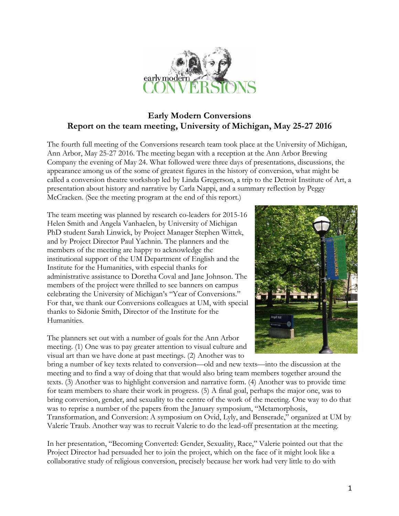

## **Early Modern Conversions Report on the team meeting, University of Michigan, May 25-27 2016**

The fourth full meeting of the Conversions research team took place at the University of Michigan, Ann Arbor, May 25-27 2016. The meeting began with a reception at the Ann Arbor Brewing Company the evening of May 24. What followed were three days of presentations, discussions, the appearance among us of the some of greatest figures in the history of conversion, what might be called a conversion theatre workshop led by Linda Gregerson, a trip to the Detroit Institute of Art, a presentation about history and narrative by Carla Nappi, and a summary reflection by Peggy McCracken. (See the meeting program at the end of this report.)

The team meeting was planned by research co-leaders for 2015-16 Helen Smith and Angela Vanhaelen, by University of Michigan PhD student Sarah Linwick, by Project Manager Stephen Wittek, and by Project Director Paul Yachnin. The planners and the members of the meeting are happy to acknowledge the institutional support of the UM Department of English and the Institute for the Humanities, with especial thanks for administrative assistance to Doretha Coval and Jane Johnson. The members of the project were thrilled to see banners on campus celebrating the University of Michigan's "Year of Conversions." For that, we thank our Conversions colleagues at UM, with special thanks to Sidonie Smith, Director of the Institute for the Humanities.

The planners set out with a number of goals for the Ann Arbor meeting. (1) One was to pay greater attention to visual culture and visual art than we have done at past meetings. (2) Another was to



bring a number of key texts related to conversion—old and new texts—into the discussion at the meeting and to find a way of doing that that would also bring team members together around the texts. (3) Another was to highlight conversion and narrative form. (4) Another was to provide time for team members to share their work in progress. (5) A final goal, perhaps the major one, was to bring conversion, gender, and sexuality to the centre of the work of the meeting. One way to do that was to reprise a number of the papers from the January symposium, "Metamorphosis, Transformation, and Conversion: A symposium on Ovid, Lyly, and Benserade," organized at UM by Valerie Traub. Another way was to recruit Valerie to do the lead-off presentation at the meeting.

In her presentation, "Becoming Converted: Gender, Sexuality, Race," Valerie pointed out that the Project Director had persuaded her to join the project, which on the face of it might look like a collaborative study of religious conversion, precisely because her work had very little to do with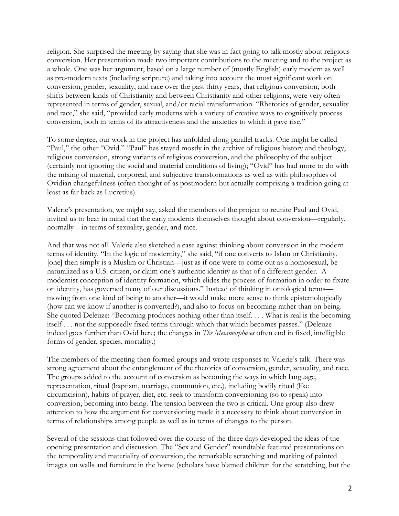religion. She surprised the meeting by saying that she was in fact going to talk mostly about religious conversion. Her presentation made two important contributions to the meeting and to the project as a whole. One was her argument, based on a large number of (mostly English) early modern as well as pre-modern texts (including scripture) and taking into account the most significant work on conversion, gender, sexuality, and race over the past thirty years, that religious conversion, both shifts between kinds of Christianity and between Christianity and other religions, were very often represented in terms of gender, sexual, and/or racial transformation. "Rhetorics of gender, sexuality and race," she said, "provided early moderns with a variety of creative ways to cognitively process conversion, both in terms of its attractiveness and the anxieties to which it gave rise."

To some degree, our work in the project has unfolded along parallel tracks. One might be called "Paul," the other "Ovid." "Paul" has stayed mostly in the archive of religious history and theology, religious conversion, strong variants of religious conversion, and the philosophy of the subject (certainly not ignoring the social and material conditions of living); "Ovid" has had more to do with the mixing of material, corporeal, and subjective transformations as well as with philosophies of Ovidian changefulness (often thought of as postmodern but actually comprising a tradition going at least as far back as Lucretius).

Valerie's presentation, we might say, asked the members of the project to reunite Paul and Ovid, invited us to bear in mind that the early moderns themselves thought about conversion—regularly, normally—in terms of sexuality, gender, and race.

And that was not all. Valerie also sketched a case against thinking about conversion in the modern terms of identity. "In the logic of modernity," she said, "if one converts to Islam or Christianity, [one] then simply is a Muslim or Christian—just as if one were to come out as a homosexual, be naturalized as a U.S. citizen, or claim one's authentic identity as that of a different gender. A modernist conception of identity formation, which elides the process of formation in order to fixate on identity, has governed many of our discussions." Instead of thinking in ontological terms moving from one kind of being to another—it would make more sense to think epistemologically (how can we know if another is converted?), and also to focus on becoming rather than on being. She quoted Deleuze: "Becoming produces nothing other than itself. . . . What is real is the becoming itself . . . not the supposedly fixed terms through which that which becomes passes." (Deleuze indeed goes further than Ovid here; the changes in *The Metamorphoses* often end in fixed, intelligible forms of gender, species, mortality.)

The members of the meeting then formed groups and wrote responses to Valerie's talk. There was strong agreement about the entanglement of the rhetorics of conversion, gender, sexuality, and race. The groups added to the account of conversion as becoming the ways in which language, representation, ritual (baptism, marriage, communion, etc.), including bodily ritual (like circumcision), habits of prayer, diet, etc. seek to transform conversioning (so to speak) into conversion, becoming into being. The tension between the two is critical. One group also drew attention to how the argument for conversioning made it a necessity to think about conversion in terms of relationships among people as well as in terms of changes to the person.

Several of the sessions that followed over the course of the three days developed the ideas of the opening presentation and discussion. The "Sex and Gender" roundtable featured presentations on the temporality and materiality of conversion; the remarkable scratching and marking of painted images on walls and furniture in the home (scholars have blamed children for the scratching, but the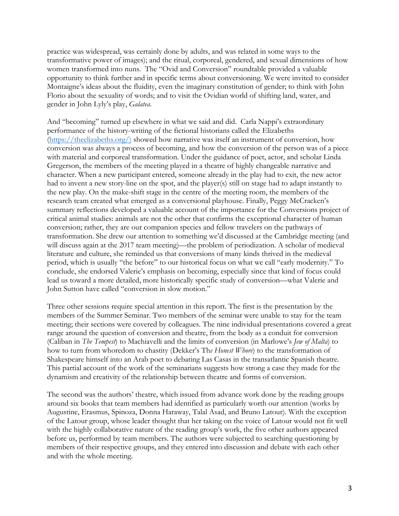practice was widespread, was certainly done by adults, and was related in some ways to the transformative power of images); and the ritual, corporeal, gendered, and sexual dimensions of how women transformed into nuns. The "Ovid and Conversion" roundtable provided a valuable opportunity to think further and in specific terms about conversioning. We were invited to consider Montaigne's ideas about the fluidity, even the imaginary constitution of gender; to think with John Florio about the sexuality of words; and to visit the Ovidian world of shifting land, water, and gender in John Lyly's play, *Galatea*.

And "becoming" turned up elsewhere in what we said and did. Carla Nappi's extraordinary performance of the history-writing of the fictional historians called the Elizabeths (https://theelizabeths.org/) showed how narrative was itself an instrument of conversion, how conversion was always a process of becoming, and how the conversion of the person was of a piece with material and corporeal transformation. Under the guidance of poet, actor, and scholar Linda Gregerson, the members of the meeting played in a theatre of highly changeable narrative and character. When a new participant entered, someone already in the play had to exit, the new actor had to invent a new story-line on the spot, and the player(s) still on stage had to adapt instantly to the new play. On the make-shift stage in the centre of the meeting room, the members of the research team created what emerged as a conversional playhouse. Finally, Peggy McCracken's summary reflections developed a valuable account of the importance for the Conversions project of critical animal studies: animals are not the other that confirms the exceptional character of human conversion; rather, they are our companion species and fellow travelers on the pathways of transformation. She drew our attention to something we'd discussed at the Cambridge meeting (and will discuss again at the 2017 team meeting)—the problem of periodization. A scholar of medieval literature and culture, she reminded us that conversions of many kinds thrived in the medieval period, which is usually "the before" to our historical focus on what we call "early modernity." To conclude, she endorsed Valerie's emphasis on becoming, especially since that kind of focus could lead us toward a more detailed, more historically specific study of conversion—what Valerie and John Sutton have called "conversion in slow motion."

Three other sessions require special attention in this report. The first is the presentation by the members of the Summer Seminar. Two members of the seminar were unable to stay for the team meeting; their sections were covered by colleagues. The nine individual presentations covered a great range around the question of conversion and theatre, from the body as a conduit for conversion (Caliban in *The Tempest*) to Machiavelli and the limits of conversion (in Marlowe's *Jew of Malta*) to how to turn from whoredom to chastity (Dekker's Th*e Honest Whore*) to the transformation of Shakespeare himself into an Arab poet to debating Las Casas in the transatlantic Spanish theatre. This partial account of the work of the seminarians suggests how strong a case they made for the dynamism and creativity of the relationship between theatre and forms of conversion.

The second was the authors' theatre, which issued from advance work done by the reading groups around six books that team members had identified as particularly worth our attention (works by Augustine, Erasmus, Spinoza, Donna Haraway, Talal Asad, and Bruno Latour). With the exception of the Latour group, whose leader thought that her taking on the voice of Latour would not fit well with the highly collaborative nature of the reading group's work, the five other authors appeared before us, performed by team members. The authors were subjected to searching questioning by members of their respective groups, and they entered into discussion and debate with each other and with the whole meeting.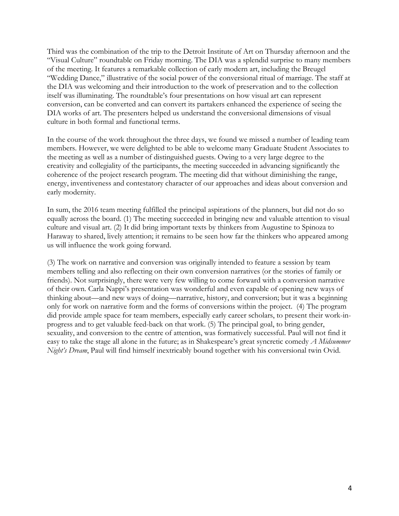Third was the combination of the trip to the Detroit Institute of Art on Thursday afternoon and the "Visual Culture" roundtable on Friday morning. The DIA was a splendid surprise to many members of the meeting. It features a remarkable collection of early modern art, including the Breugel "Wedding Dance," illustrative of the social power of the conversional ritual of marriage. The staff at the DIA was welcoming and their introduction to the work of preservation and to the collection itself was illuminating. The roundtable's four presentations on how visual art can represent conversion, can be converted and can convert its partakers enhanced the experience of seeing the DIA works of art. The presenters helped us understand the conversional dimensions of visual culture in both formal and functional terms.

In the course of the work throughout the three days, we found we missed a number of leading team members. However, we were delighted to be able to welcome many Graduate Student Associates to the meeting as well as a number of distinguished guests. Owing to a very large degree to the creativity and collegiality of the participants, the meeting succeeded in advancing significantly the coherence of the project research program. The meeting did that without diminishing the range, energy, inventiveness and contestatory character of our approaches and ideas about conversion and early modernity.

In sum, the 2016 team meeting fulfilled the principal aspirations of the planners, but did not do so equally across the board. (1) The meeting succeeded in bringing new and valuable attention to visual culture and visual art. (2) It did bring important texts by thinkers from Augustine to Spinoza to Haraway to shared, lively attention; it remains to be seen how far the thinkers who appeared among us will influence the work going forward.

(3) The work on narrative and conversion was originally intended to feature a session by team members telling and also reflecting on their own conversion narratives (or the stories of family or friends). Not surprisingly, there were very few willing to come forward with a conversion narrative of their own. Carla Nappi's presentation was wonderful and even capable of opening new ways of thinking about—and new ways of doing—narrative, history, and conversion; but it was a beginning only for work on narrative form and the forms of conversions within the project. (4) The program did provide ample space for team members, especially early career scholars, to present their work-inprogress and to get valuable feed-back on that work. (5) The principal goal, to bring gender, sexuality, and conversion to the centre of attention, was formatively successful. Paul will not find it easy to take the stage all alone in the future; as in Shakespeare's great syncretic comedy *A Midsummer Night's Dream*, Paul will find himself inextricably bound together with his conversional twin Ovid.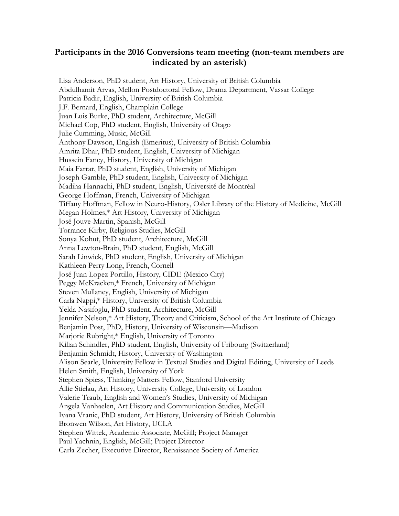## **Participants in the 2016 Conversions team meeting (non-team members are indicated by an asterisk)**

Lisa Anderson, PhD student, Art History, University of British Columbia Abdulhamit Arvas, Mellon Postdoctoral Fellow, Drama Department, Vassar College Patricia Badir, English, University of British Columbia J.F. Bernard, English, Champlain College Juan Luis Burke, PhD student, Architecture, McGill Michael Cop, PhD student, English, University of Otago Julie Cumming, Music, McGill Anthony Dawson, English (Emeritus), University of British Columbia Amrita Dhar, PhD student, English, University of Michigan Hussein Fancy, History, University of Michigan Maia Farrar, PhD student, English, University of Michigan Joseph Gamble, PhD student, English, University of Michigan Madiha Hannachi, PhD student, English, Université de Montréal George Hoffman, French, University of Michigan Tiffany Hoffman, Fellow in Neuro-History, Osler Library of the History of Medicine, McGill Megan Holmes,\* Art History, University of Michigan José Jouve-Martin, Spanish, McGill Torrance Kirby, Religious Studies, McGill Sonya Kohut, PhD student, Architecture, McGill Anna Lewton-Brain, PhD student, English, McGill Sarah Linwick, PhD student, English, University of Michigan Kathleen Perry Long, French, Cornell José Juan Lopez Portillo, History, CIDE (Mexico City) Peggy McKracken,\* French, University of Michigan Steven Mullaney, English, University of Michigan Carla Nappi,\* History, University of British Columbia Yelda Nasifoglu, PhD student, Architecture, McGill Jennifer Nelson,\* Art History, Theory and Criticism, School of the Art Institute of Chicago Benjamin Post, PhD, History, University of Wisconsin—Madison Marjorie Rubright,\* English, University of Toronto Kilian Schindler, PhD student, English, University of Fribourg (Switzerland) Benjamin Schmidt, History, University of Washington Alison Searle, University Fellow in Textual Studies and Digital Editing, University of Leeds Helen Smith, English, University of York Stephen Spiess, Thinking Matters Fellow, Stanford University Allie Stielau, Art History, University College, University of London Valerie Traub, English and Women's Studies, University of Michigan Angela Vanhaelen, Art History and Communication Studies, McGill Ivana Vranic, PhD student, Art History, University of British Columbia Bronwen Wilson, Art History, UCLA Stephen Wittek, Academic Associate, McGill; Project Manager Paul Yachnin, English, McGill; Project Director Carla Zecher, Executive Director, Renaissance Society of America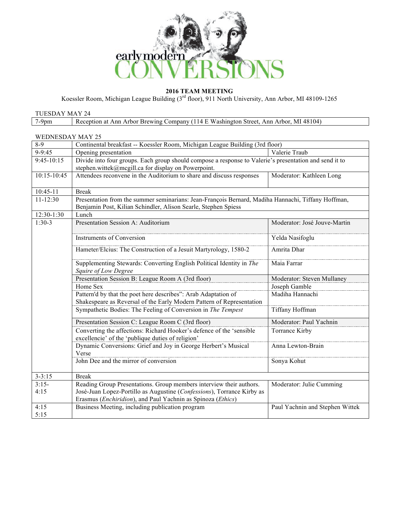

**2016 TEAM MEETING** 

Koessler Room, Michigan League Building (3<sup>rd</sup> floor), 911 North University, Ann Arbor, MI 48109-1265

| TUESDAY MAY 24   |                                                                                                                |               |  |  |  |
|------------------|----------------------------------------------------------------------------------------------------------------|---------------|--|--|--|
| $7-9$ pm         | Reception at Ann Arbor Brewing Company (114 E Washington Street, Ann Arbor, MI 48104)                          |               |  |  |  |
|                  |                                                                                                                |               |  |  |  |
| WEDNESDAY MAY 25 |                                                                                                                |               |  |  |  |
| 8-9              | Continental breakfast -- Koessler Room, Michigan League Building (3rd floor)                                   |               |  |  |  |
| $9-9:45$         | Opening presentation                                                                                           | Valerie Traub |  |  |  |
| 0.45, 10.15      | Third de inte faces and one Thail and an algorithment communication of Valante) a nacementaria and annul it to |               |  |  |  |

| 9-9.40       | Opening presentation                                                                                                      | valene Tiaup                    |  |
|--------------|---------------------------------------------------------------------------------------------------------------------------|---------------------------------|--|
| $9:45-10:15$ | Divide into four groups. Each group should compose a response to Valerie's presentation and send it to                    |                                 |  |
|              | stephen.wittek@mcgill.ca for display on Powerpoint.                                                                       |                                 |  |
| 10:15-10:45  | Attendees reconvene in the Auditorium to share and discuss responses                                                      | Moderator: Kathleen Long        |  |
| $10:45-11$   | <b>Break</b>                                                                                                              |                                 |  |
| $11 - 12:30$ | Presentation from the summer seminarians: Jean-François Bernard, Madiha Hannachi, Tiffany Hoffman,                        |                                 |  |
|              | Benjamin Post, Kilian Schindler, Alison Searle, Stephen Spiess                                                            |                                 |  |
| 12:30-1:30   | Lunch                                                                                                                     |                                 |  |
| $1:30-3$     | Presentation Session A: Auditorium                                                                                        | Moderator: José Jouve-Martin    |  |
|              | Instruments of Conversion                                                                                                 | Yelda Nasifoglu                 |  |
|              | Hameter/Elcius: The Construction of a Jesuit Martyrology, 1580-2                                                          | Amrita Dhar                     |  |
|              | Supplementing Stewards: Converting English Political Identity in The<br>Squire of Low Degree                              | Maia Farrar                     |  |
|              | Presentation Session B: League Room A (3rd floor)                                                                         | Moderator: Steven Mullaney      |  |
|              | Home Sex                                                                                                                  | Joseph Gamble                   |  |
|              | Pattern'd by that the poet here describes": Arab Adaptation of                                                            | Madiha Hannachi                 |  |
|              | Shakespeare as Reversal of the Early Modern Pattern of Representation                                                     |                                 |  |
|              | Sympathetic Bodies: The Feeling of Conversion in The Tempest                                                              | Tiffany Hoffman                 |  |
|              | Presentation Session C: League Room C (3rd floor)                                                                         | Moderator: Paul Yachnin         |  |
|              | Converting the affections: Richard Hooker's defence of the 'sensible<br>excellencie' of the 'publique duties of religion' | Torrance Kirby                  |  |
|              | Dynamic Conversions: Grief and Joy in George Herbert's Musical<br>Verse                                                   | Anna Lewton-Brain               |  |
|              | John Dee and the mirror of conversion                                                                                     | Sonya Kohut                     |  |
| $3 - 3:15$   | <b>Break</b>                                                                                                              |                                 |  |
| $3:15-$      | Reading Group Presentations. Group members interview their authors.                                                       | Moderator: Julie Cumming        |  |
| 4:15         | José-Juan Lopez-Portillo as Augustine (Confessions), Torrance Kirby as                                                    |                                 |  |
|              | Erasmus ( <i>Enchiridion</i> ), and Paul Yachnin as Spinoza ( <i>Ethics</i> )                                             |                                 |  |
| 4:15         | Business Meeting, including publication program                                                                           | Paul Yachnin and Stephen Wittek |  |
| 5:15         |                                                                                                                           |                                 |  |